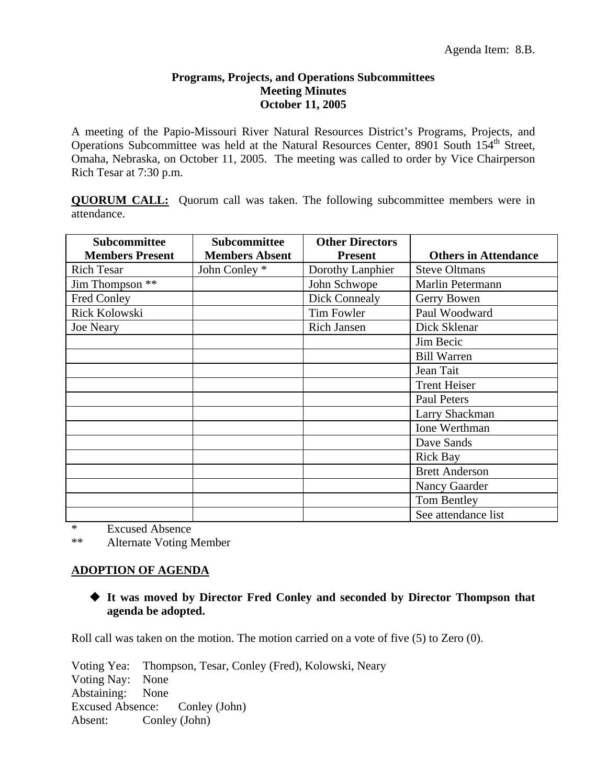### **Programs, Projects, and Operations Subcommittees Meeting Minutes October 11, 2005**

A meeting of the Papio-Missouri River Natural Resources District's Programs, Projects, and Operations Subcommittee was held at the Natural Resources Center, 8901 South 154<sup>th</sup> Street, Omaha, Nebraska, on October 11, 2005. The meeting was called to order by Vice Chairperson Rich Tesar at 7:30 p.m.

**QUORUM CALL:** Quorum call was taken. The following subcommittee members were in attendance.

| Subcommittee<br><b>Members Present</b> | Subcommittee<br><b>Members Absent</b> | <b>Other Directors</b><br><b>Present</b> | <b>Others in Attendance</b> |
|----------------------------------------|---------------------------------------|------------------------------------------|-----------------------------|
| <b>Rich Tesar</b>                      | John Conley *                         | Dorothy Lanphier                         | <b>Steve Oltmans</b>        |
| Jim Thompson **                        |                                       | John Schwope                             | Marlin Petermann            |
| Fred Conley                            |                                       | Dick Connealy                            | Gerry Bowen                 |
| Rick Kolowski                          |                                       | Tim Fowler                               | Paul Woodward               |
| <b>Joe Neary</b>                       |                                       | <b>Rich Jansen</b>                       | Dick Sklenar                |
|                                        |                                       |                                          | Jim Becic                   |
|                                        |                                       |                                          | <b>Bill Warren</b>          |
|                                        |                                       |                                          | Jean Tait                   |
|                                        |                                       |                                          | <b>Trent Heiser</b>         |
|                                        |                                       |                                          | <b>Paul Peters</b>          |
|                                        |                                       |                                          | Larry Shackman              |
|                                        |                                       |                                          | Ione Werthman               |
|                                        |                                       |                                          | Dave Sands                  |
|                                        |                                       |                                          | <b>Rick Bay</b>             |
|                                        |                                       |                                          | <b>Brett Anderson</b>       |
|                                        |                                       |                                          | Nancy Gaarder               |
|                                        |                                       |                                          | Tom Bentley                 |
|                                        |                                       |                                          | See attendance list         |

\* Excused Absence

\*\* Alternate Voting Member

# **ADOPTION OF AGENDA**

# **It was moved by Director Fred Conley and seconded by Director Thompson that agenda be adopted.**

Roll call was taken on the motion. The motion carried on a vote of five (5) to Zero (0).

Voting Yea: Thompson, Tesar, Conley (Fred), Kolowski, Neary Voting Nay: None Abstaining: None Excused Absence: Conley (John) Absent: Conley (John)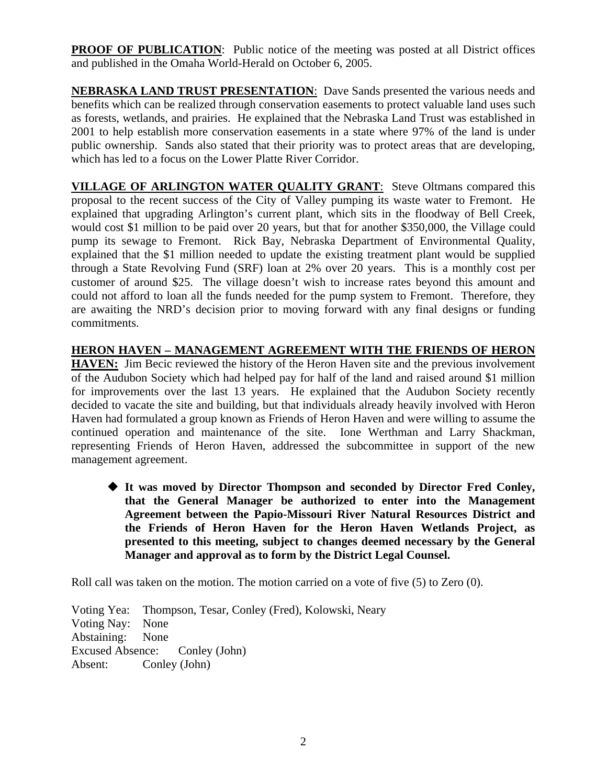**PROOF OF PUBLICATION:** Public notice of the meeting was posted at all District offices and published in the Omaha World-Herald on October 6, 2005.

**NEBRASKA LAND TRUST PRESENTATION**: Dave Sands presented the various needs and benefits which can be realized through conservation easements to protect valuable land uses such as forests, wetlands, and prairies. He explained that the Nebraska Land Trust was established in 2001 to help establish more conservation easements in a state where 97% of the land is under public ownership. Sands also stated that their priority was to protect areas that are developing, which has led to a focus on the Lower Platte River Corridor.

**VILLAGE OF ARLINGTON WATER QUALITY GRANT**: Steve Oltmans compared this proposal to the recent success of the City of Valley pumping its waste water to Fremont. He explained that upgrading Arlington's current plant, which sits in the floodway of Bell Creek, would cost \$1 million to be paid over 20 years, but that for another \$350,000, the Village could pump its sewage to Fremont. Rick Bay, Nebraska Department of Environmental Quality, explained that the \$1 million needed to update the existing treatment plant would be supplied through a State Revolving Fund (SRF) loan at 2% over 20 years. This is a monthly cost per customer of around \$25. The village doesn't wish to increase rates beyond this amount and could not afford to loan all the funds needed for the pump system to Fremont. Therefore, they are awaiting the NRD's decision prior to moving forward with any final designs or funding commitments.

# **HERON HAVEN – MANAGEMENT AGREEMENT WITH THE FRIENDS OF HERON**

**HAVEN:** Jim Becic reviewed the history of the Heron Haven site and the previous involvement of the Audubon Society which had helped pay for half of the land and raised around \$1 million for improvements over the last 13 years. He explained that the Audubon Society recently decided to vacate the site and building, but that individuals already heavily involved with Heron Haven had formulated a group known as Friends of Heron Haven and were willing to assume the continued operation and maintenance of the site. Ione Werthman and Larry Shackman, representing Friends of Heron Haven, addressed the subcommittee in support of the new management agreement.

 **It was moved by Director Thompson and seconded by Director Fred Conley, that the General Manager be authorized to enter into the Management Agreement between the Papio-Missouri River Natural Resources District and the Friends of Heron Haven for the Heron Haven Wetlands Project, as presented to this meeting, subject to changes deemed necessary by the General Manager and approval as to form by the District Legal Counsel.** 

Roll call was taken on the motion. The motion carried on a vote of five (5) to Zero (0).

Voting Yea: Thompson, Tesar, Conley (Fred), Kolowski, Neary Voting Nay: None Abstaining: None Excused Absence: Conley (John) Absent: Conley (John)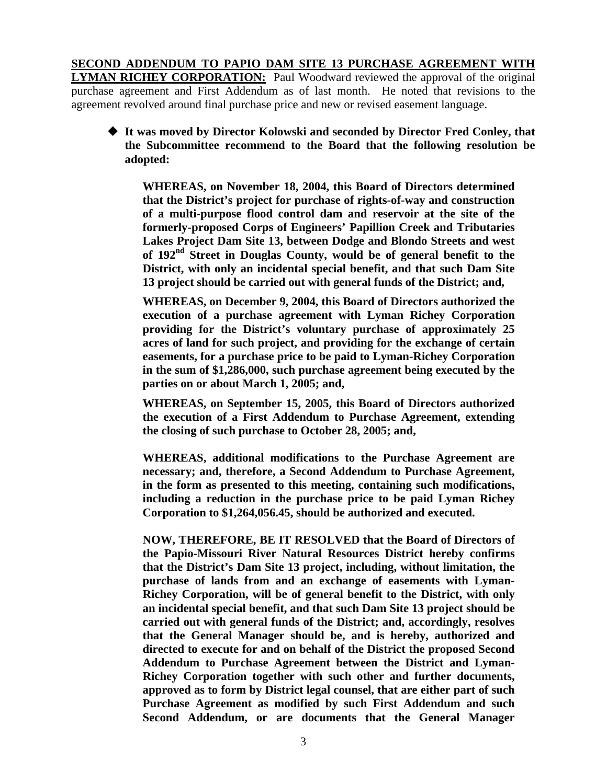**SECOND ADDENDUM TO PAPIO DAM SITE 13 PURCHASE AGREEMENT WITH LYMAN RICHEY CORPORATION:** Paul Woodward reviewed the approval of the original purchase agreement and First Addendum as of last month. He noted that revisions to the agreement revolved around final purchase price and new or revised easement language.

 **It was moved by Director Kolowski and seconded by Director Fred Conley, that the Subcommittee recommend to the Board that the following resolution be adopted:** 

**WHEREAS, on November 18, 2004, this Board of Directors determined that the District's project for purchase of rights-of-way and construction of a multi-purpose flood control dam and reservoir at the site of the formerly-proposed Corps of Engineers' Papillion Creek and Tributaries Lakes Project Dam Site 13, between Dodge and Blondo Streets and west of 192nd Street in Douglas County, would be of general benefit to the District, with only an incidental special benefit, and that such Dam Site 13 project should be carried out with general funds of the District; and,** 

**WHEREAS, on December 9, 2004, this Board of Directors authorized the execution of a purchase agreement with Lyman Richey Corporation providing for the District's voluntary purchase of approximately 25 acres of land for such project, and providing for the exchange of certain easements, for a purchase price to be paid to Lyman-Richey Corporation in the sum of \$1,286,000, such purchase agreement being executed by the parties on or about March 1, 2005; and,** 

**WHEREAS, on September 15, 2005, this Board of Directors authorized the execution of a First Addendum to Purchase Agreement, extending the closing of such purchase to October 28, 2005; and,** 

**WHEREAS, additional modifications to the Purchase Agreement are necessary; and, therefore, a Second Addendum to Purchase Agreement, in the form as presented to this meeting, containing such modifications, including a reduction in the purchase price to be paid Lyman Richey Corporation to \$1,264,056.45, should be authorized and executed.** 

**NOW, THEREFORE, BE IT RESOLVED that the Board of Directors of the Papio-Missouri River Natural Resources District hereby confirms that the District's Dam Site 13 project, including, without limitation, the purchase of lands from and an exchange of easements with Lyman-Richey Corporation, will be of general benefit to the District, with only an incidental special benefit, and that such Dam Site 13 project should be carried out with general funds of the District; and, accordingly, resolves that the General Manager should be, and is hereby, authorized and directed to execute for and on behalf of the District the proposed Second Addendum to Purchase Agreement between the District and Lyman-Richey Corporation together with such other and further documents, approved as to form by District legal counsel, that are either part of such Purchase Agreement as modified by such First Addendum and such Second Addendum, or are documents that the General Manager**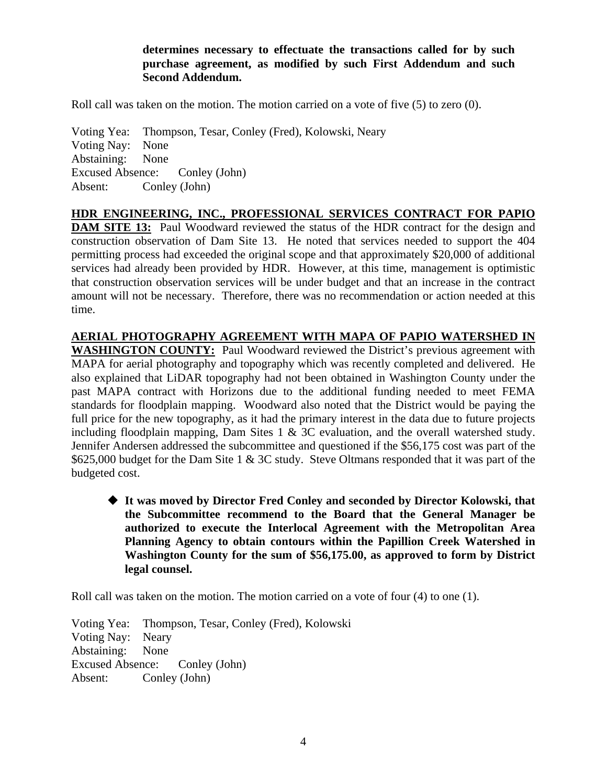**determines necessary to effectuate the transactions called for by such purchase agreement, as modified by such First Addendum and such Second Addendum.** 

Roll call was taken on the motion. The motion carried on a vote of five (5) to zero (0).

Voting Yea: Thompson, Tesar, Conley (Fred), Kolowski, Neary Voting Nay: None Abstaining: None Excused Absence: Conley (John) Absent: Conley (John)

**HDR ENGINEERING, INC., PROFESSIONAL SERVICES CONTRACT FOR PAPIO DAM SITE 13:** Paul Woodward reviewed the status of the HDR contract for the design and construction observation of Dam Site 13. He noted that services needed to support the 404 permitting process had exceeded the original scope and that approximately \$20,000 of additional services had already been provided by HDR. However, at this time, management is optimistic that construction observation services will be under budget and that an increase in the contract

amount will not be necessary. Therefore, there was no recommendation or action needed at this time.

**AERIAL PHOTOGRAPHY AGREEMENT WITH MAPA OF PAPIO WATERSHED IN WASHINGTON COUNTY:** Paul Woodward reviewed the District's previous agreement with MAPA for aerial photography and topography which was recently completed and delivered. He also explained that LiDAR topography had not been obtained in Washington County under the past MAPA contract with Horizons due to the additional funding needed to meet FEMA standards for floodplain mapping. Woodward also noted that the District would be paying the full price for the new topography, as it had the primary interest in the data due to future projects including floodplain mapping, Dam Sites 1 & 3C evaluation, and the overall watershed study. Jennifer Andersen addressed the subcommittee and questioned if the \$56,175 cost was part of the \$625,000 budget for the Dam Site 1 & 3C study. Steve Oltmans responded that it was part of the budgeted cost.

 **It was moved by Director Fred Conley and seconded by Director Kolowski, that the Subcommittee recommend to the Board that the General Manager be authorized to execute the Interlocal Agreement with the Metropolitan Area Planning Agency to obtain contours within the Papillion Creek Watershed in Washington County for the sum of \$56,175.00, as approved to form by District legal counsel.**

Roll call was taken on the motion. The motion carried on a vote of four (4) to one (1).

Voting Yea: Thompson, Tesar, Conley (Fred), Kolowski Voting Nay: Neary Abstaining: None Excused Absence: Conley (John) Absent: Conley (John)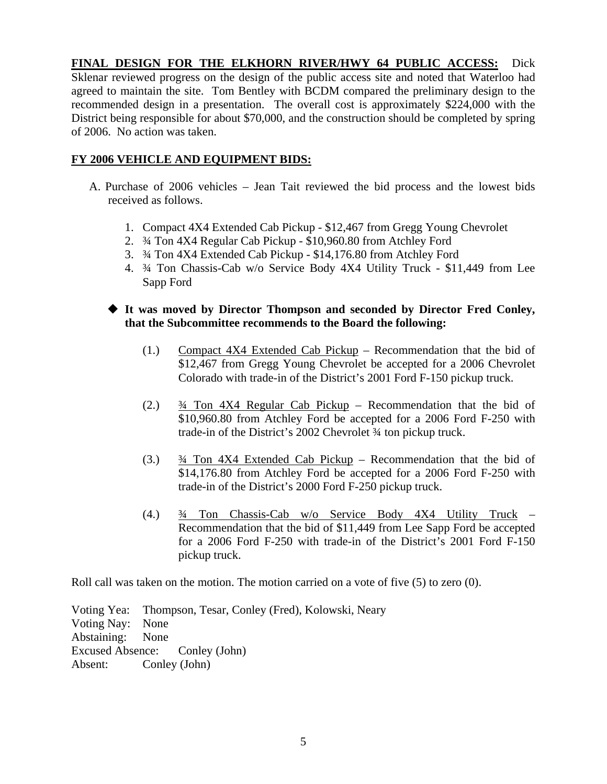**FINAL DESIGN FOR THE ELKHORN RIVER/HWY 64 PUBLIC ACCESS:** Dick Sklenar reviewed progress on the design of the public access site and noted that Waterloo had agreed to maintain the site. Tom Bentley with BCDM compared the preliminary design to the recommended design in a presentation. The overall cost is approximately \$224,000 with the District being responsible for about \$70,000, and the construction should be completed by spring of 2006. No action was taken.

### **FY 2006 VEHICLE AND EQUIPMENT BIDS:**

- A. Purchase of 2006 vehicles Jean Tait reviewed the bid process and the lowest bids received as follows.
	- 1. Compact 4X4 Extended Cab Pickup \$12,467 from Gregg Young Chevrolet
	- 2. ¾ Ton 4X4 Regular Cab Pickup \$10,960.80 from Atchley Ford
	- 3. ¾ Ton 4X4 Extended Cab Pickup \$14,176.80 from Atchley Ford
	- 4. ¾ Ton Chassis-Cab w/o Service Body 4X4 Utility Truck \$11,449 from Lee Sapp Ford
	- **It was moved by Director Thompson and seconded by Director Fred Conley, that the Subcommittee recommends to the Board the following:** 
		- (1.) Compact 4X4 Extended Cab Pickup Recommendation that the bid of \$12,467 from Gregg Young Chevrolet be accepted for a 2006 Chevrolet Colorado with trade-in of the District's 2001 Ford F-150 pickup truck.
		- (2.) ¾ Ton 4X4 Regular Cab Pickup Recommendation that the bid of \$10,960.80 from Atchley Ford be accepted for a 2006 Ford F-250 with trade-in of the District's 2002 Chevrolet ¾ ton pickup truck.
		- (3.) ¾ Ton 4X4 Extended Cab Pickup Recommendation that the bid of \$14,176.80 from Atchley Ford be accepted for a 2006 Ford F-250 with trade-in of the District's 2000 Ford F-250 pickup truck.
		- (4.) ¾ Ton Chassis-Cab w/o Service Body 4X4 Utility Truck Recommendation that the bid of \$11,449 from Lee Sapp Ford be accepted for a 2006 Ford F-250 with trade-in of the District's 2001 Ford F-150 pickup truck.

Roll call was taken on the motion. The motion carried on a vote of five (5) to zero (0).

Voting Yea: Thompson, Tesar, Conley (Fred), Kolowski, Neary Voting Nay: None Abstaining: None Excused Absence: Conley (John) Absent: Conley (John)